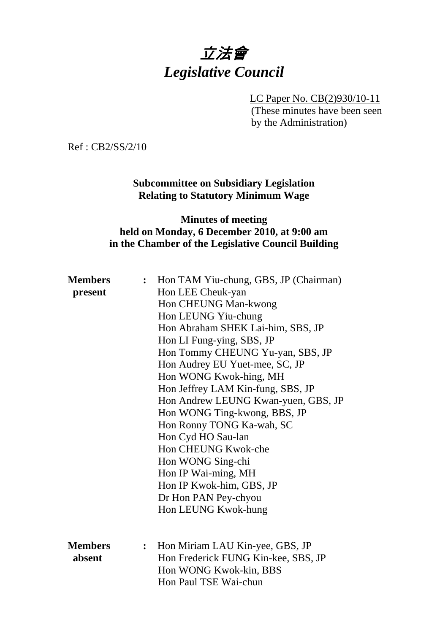# 立法會 *Legislative Council*

LC Paper No. CB(2)930/10-11 (These minutes have been seen by the Administration)

Ref : CB2/SS/2/10

**Subcommittee on Subsidiary Legislation Relating to Statutory Minimum Wage** 

#### **Minutes of meeting held on Monday, 6 December 2010, at 9:00 am in the Chamber of the Legislative Council Building**

| <b>Members</b> | $\ddot{\cdot}$ | Hon TAM Yiu-chung, GBS, JP (Chairman) |
|----------------|----------------|---------------------------------------|
| present        |                | Hon LEE Cheuk-yan                     |
|                |                | Hon CHEUNG Man-kwong                  |
|                |                | Hon LEUNG Yiu-chung                   |
|                |                | Hon Abraham SHEK Lai-him, SBS, JP     |
|                |                | Hon LI Fung-ying, SBS, JP             |
|                |                | Hon Tommy CHEUNG Yu-yan, SBS, JP      |
|                |                | Hon Audrey EU Yuet-mee, SC, JP        |
|                |                | Hon WONG Kwok-hing, MH                |
|                |                | Hon Jeffrey LAM Kin-fung, SBS, JP     |
|                |                | Hon Andrew LEUNG Kwan-yuen, GBS, JP   |
|                |                | Hon WONG Ting-kwong, BBS, JP          |
|                |                | Hon Ronny TONG Ka-wah, SC             |
|                |                | Hon Cyd HO Sau-lan                    |
|                |                | Hon CHEUNG Kwok-che                   |
|                |                | Hon WONG Sing-chi                     |
|                |                | Hon IP Wai-ming, MH                   |
|                |                | Hon IP Kwok-him, GBS, JP              |
|                |                | Dr Hon PAN Pey-chyou                  |
|                |                | Hon LEUNG Kwok-hung                   |
|                |                |                                       |
|                |                |                                       |
| <b>Members</b> | $\ddot{\cdot}$ | Hon Miriam LAU Kin-yee, GBS, JP       |
| absent         |                | Hon Frederick FUNG Kin-kee, SBS, JP   |
|                |                | Hon WONG Kwok-kin, BBS                |
|                |                | Hon Paul TSE Wai-chun                 |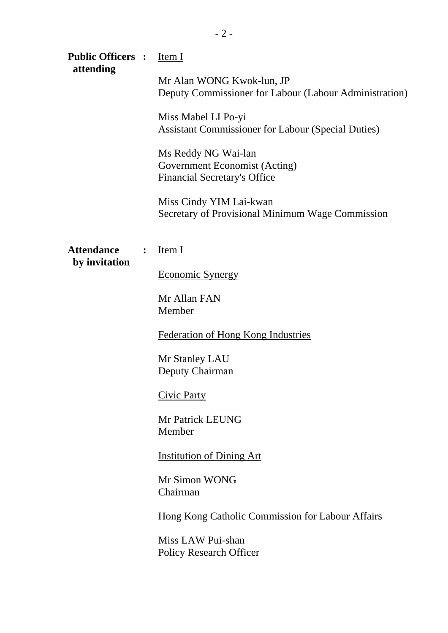| <b>Public Officers :</b><br>attending |                | Item I                                                                                      |
|---------------------------------------|----------------|---------------------------------------------------------------------------------------------|
|                                       |                | Mr Alan WONG Kwok-lun, JP<br>Deputy Commissioner for Labour (Labour Administration)         |
|                                       |                | Miss Mabel LI Po-yi<br><b>Assistant Commissioner for Labour (Special Duties)</b>            |
|                                       |                | Ms Reddy NG Wai-lan<br>Government Economist (Acting)<br><b>Financial Secretary's Office</b> |
|                                       |                | Miss Cindy YIM Lai-kwan<br>Secretary of Provisional Minimum Wage Commission                 |
| <b>Attendance</b><br>by invitation    | $\ddot{\cdot}$ | Item I                                                                                      |
|                                       |                | <b>Economic Synergy</b>                                                                     |
|                                       |                | Mr Allan FAN<br>Member                                                                      |
|                                       |                | <b>Federation of Hong Kong Industries</b>                                                   |
|                                       |                | Mr Stanley LAU<br>Deputy Chairman                                                           |
|                                       |                | <b>Civic Party</b>                                                                          |
|                                       |                | <b>Mr Patrick LEUNG</b><br>Member                                                           |
|                                       |                | <b>Institution of Dining Art</b>                                                            |
|                                       |                | Mr Simon WONG<br>Chairman                                                                   |
|                                       |                | <b>Hong Kong Catholic Commission for Labour Affairs</b>                                     |
|                                       |                | Miss LAW Pui-shan<br><b>Policy Research Officer</b>                                         |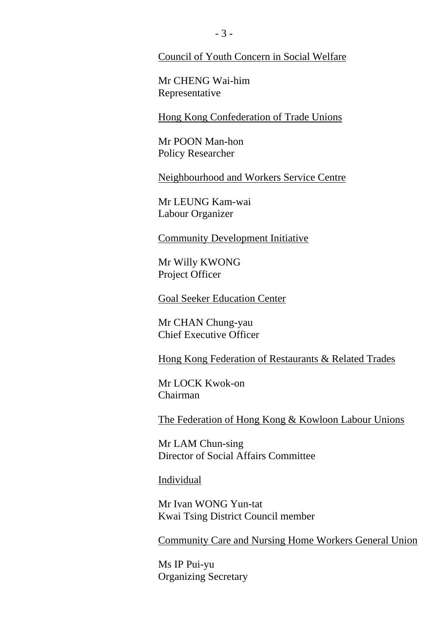Council of Youth Concern in Social Welfare

Mr CHENG Wai-him Representative

Hong Kong Confederation of Trade Unions

Mr POON Man-hon Policy Researcher

Neighbourhood and Workers Service Centre

Mr LEUNG Kam-wai Labour Organizer

Community Development Initiative

Mr Willy KWONG Project Officer

Goal Seeker Education Center

Mr CHAN Chung-yau Chief Executive Officer

Hong Kong Federation of Restaurants & Related Trades

Mr LOCK Kwok-on Chairman

The Federation of Hong Kong & Kowloon Labour Unions

Mr LAM Chun-sing Director of Social Affairs Committee

Individual

Mr Ivan WONG Yun-tat Kwai Tsing District Council member

Community Care and Nursing Home Workers General Union

Ms IP Pui-yu Organizing Secretary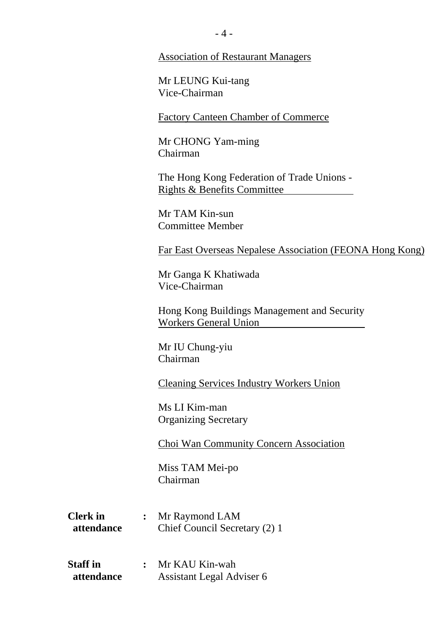#### Association of Restaurant Managers

Mr LEUNG Kui-tang Vice-Chairman

Factory Canteen Chamber of Commerce

Mr CHONG Yam-ming Chairman

The Hong Kong Federation of Trade Unions - Rights & Benefits Committee

Mr TAM Kin-sun Committee Member

Far East Overseas Nepalese Association (FEONA Hong Kong)

Mr Ganga K Khatiwada Vice-Chairman

Hong Kong Buildings Management and Security Workers General Union

Mr IU Chung-yiu Chairman

Cleaning Services Industry Workers Union

Ms LI Kim-man Organizing Secretary

Choi Wan Community Concern Association

Miss TAM Mei-po Chairman

| <b>Clerk</b> in | Mr Raymond LAM                |
|-----------------|-------------------------------|
| attendance      | Chief Council Secretary (2) 1 |

**Staff in :** Mr KAU Kin-wah  **attendance** Assistant Legal Adviser 6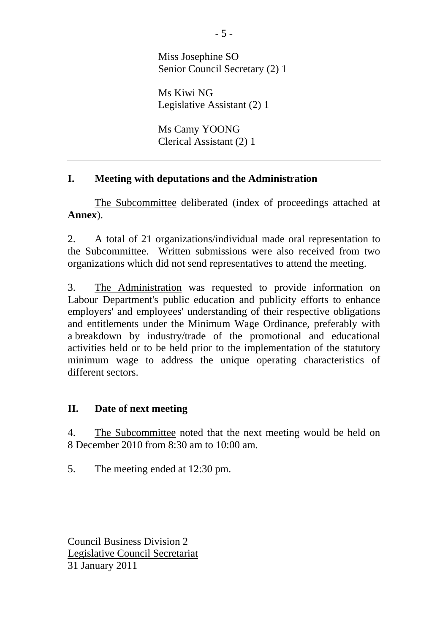Miss Josephine SO Senior Council Secretary (2) 1

Ms Kiwi NG Legislative Assistant (2) 1

Ms Camy YOONG Clerical Assistant (2) 1

### **I. Meeting with deputations and the Administration**

The Subcommittee deliberated (index of proceedings attached at **Annex**).

2. A total of 21 organizations/individual made oral representation to the Subcommittee. Written submissions were also received from two organizations which did not send representatives to attend the meeting.

3. The Administration was requested to provide information on Labour Department's public education and publicity efforts to enhance employers' and employees' understanding of their respective obligations and entitlements under the Minimum Wage Ordinance, preferably with a breakdown by industry/trade of the promotional and educational activities held or to be held prior to the implementation of the statutory minimum wage to address the unique operating characteristics of different sectors.

### **II. Date of next meeting**

4. The Subcommittee noted that the next meeting would be held on 8 December 2010 from 8:30 am to 10:00 am.

5. The meeting ended at 12:30 pm.

Council Business Division 2 Legislative Council Secretariat 31 January 2011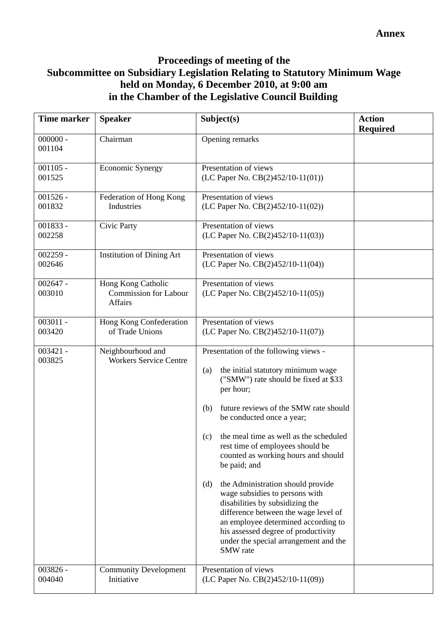## **Proceedings of meeting of the Subcommittee on Subsidiary Legislation Relating to Statutory Minimum Wage held on Monday, 6 December 2010, at 9:00 am in the Chamber of the Legislative Council Building**

| Time marker          | <b>Speaker</b>                                                | Subject(s)                                                                                                                                                                                                                                                                                                                                                                                                                                                                                                                                                                                                                                                   | <b>Action</b><br><b>Required</b> |
|----------------------|---------------------------------------------------------------|--------------------------------------------------------------------------------------------------------------------------------------------------------------------------------------------------------------------------------------------------------------------------------------------------------------------------------------------------------------------------------------------------------------------------------------------------------------------------------------------------------------------------------------------------------------------------------------------------------------------------------------------------------------|----------------------------------|
| $000000 -$<br>001104 | Chairman                                                      | Opening remarks                                                                                                                                                                                                                                                                                                                                                                                                                                                                                                                                                                                                                                              |                                  |
| $001105 -$<br>001525 | <b>Economic Synergy</b>                                       | Presentation of views<br>(LC Paper No. CB(2)452/10-11(01))                                                                                                                                                                                                                                                                                                                                                                                                                                                                                                                                                                                                   |                                  |
| $001526 -$<br>001832 | Federation of Hong Kong<br>Industries                         | Presentation of views<br>(LC Paper No. CB(2)452/10-11(02))                                                                                                                                                                                                                                                                                                                                                                                                                                                                                                                                                                                                   |                                  |
| 001833 -<br>002258   | Civic Party                                                   | Presentation of views<br>(LC Paper No. CB(2)452/10-11(03))                                                                                                                                                                                                                                                                                                                                                                                                                                                                                                                                                                                                   |                                  |
| $002259 -$<br>002646 | <b>Institution of Dining Art</b>                              | Presentation of views<br>(LC Paper No. CB(2)452/10-11(04))                                                                                                                                                                                                                                                                                                                                                                                                                                                                                                                                                                                                   |                                  |
| $002647 -$<br>003010 | Hong Kong Catholic<br><b>Commission for Labour</b><br>Affairs | Presentation of views<br>(LC Paper No. $CB(2)452/10-11(05)$ )                                                                                                                                                                                                                                                                                                                                                                                                                                                                                                                                                                                                |                                  |
| $003011 -$<br>003420 | Hong Kong Confederation<br>of Trade Unions                    | Presentation of views<br>(LC Paper No. CB(2)452/10-11(07))                                                                                                                                                                                                                                                                                                                                                                                                                                                                                                                                                                                                   |                                  |
| $003421 -$<br>003825 | Neighbourhood and<br><b>Workers Service Centre</b>            | Presentation of the following views -<br>the initial statutory minimum wage<br>(a)<br>("SMW") rate should be fixed at \$33<br>per hour;<br>future reviews of the SMW rate should<br>(b)<br>be conducted once a year;<br>the meal time as well as the scheduled<br>(c)<br>rest time of employees should be<br>counted as working hours and should<br>be paid; and<br>the Administration should provide<br>(d)<br>wage subsidies to persons with<br>disabilities by subsidizing the<br>difference between the wage level of<br>an employee determined according to<br>his assessed degree of productivity<br>under the special arrangement and the<br>SMW rate |                                  |
| $003826 -$<br>004040 | <b>Community Development</b><br>Initiative                    | Presentation of views<br>(LC Paper No. CB(2)452/10-11(09))                                                                                                                                                                                                                                                                                                                                                                                                                                                                                                                                                                                                   |                                  |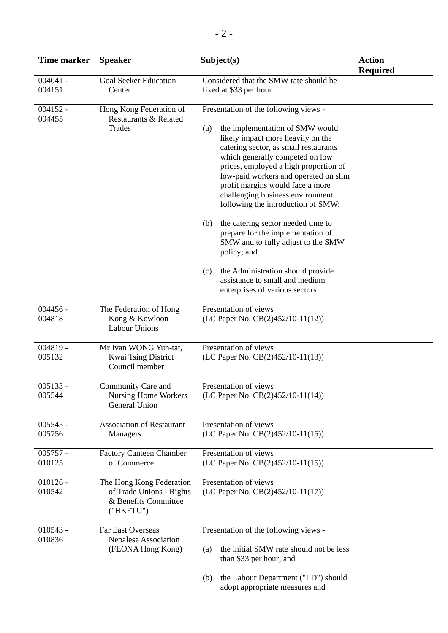| <b>Time marker</b>   | <b>Speaker</b>                                                                            | Subject(s)                                                                                                                                                                                                                                                                                                                                                                                                                                                                                                                                                                                                                                              | <b>Action</b>   |
|----------------------|-------------------------------------------------------------------------------------------|---------------------------------------------------------------------------------------------------------------------------------------------------------------------------------------------------------------------------------------------------------------------------------------------------------------------------------------------------------------------------------------------------------------------------------------------------------------------------------------------------------------------------------------------------------------------------------------------------------------------------------------------------------|-----------------|
|                      |                                                                                           |                                                                                                                                                                                                                                                                                                                                                                                                                                                                                                                                                                                                                                                         | <b>Required</b> |
| $004041 -$<br>004151 | <b>Goal Seeker Education</b><br>Center                                                    | Considered that the SMW rate should be<br>fixed at \$33 per hour                                                                                                                                                                                                                                                                                                                                                                                                                                                                                                                                                                                        |                 |
| $004152 -$<br>004455 | Hong Kong Federation of<br>Restaurants & Related<br>Trades                                | Presentation of the following views -<br>the implementation of SMW would<br>(a)<br>likely impact more heavily on the<br>catering sector, as small restaurants<br>which generally competed on low<br>prices, employed a high proportion of<br>low-paid workers and operated on slim<br>profit margins would face a more<br>challenging business environment<br>following the introduction of SMW;<br>the catering sector needed time to<br>(b)<br>prepare for the implementation of<br>SMW and to fully adjust to the SMW<br>policy; and<br>the Administration should provide<br>(c)<br>assistance to small and medium<br>enterprises of various sectors |                 |
| $004456 -$<br>004818 | The Federation of Hong<br>Kong & Kowloon<br><b>Labour Unions</b>                          | Presentation of views<br>(LC Paper No. CB(2)452/10-11(12))                                                                                                                                                                                                                                                                                                                                                                                                                                                                                                                                                                                              |                 |
| $004819 -$<br>005132 | Mr Ivan WONG Yun-tat,<br>Kwai Tsing District<br>Council member                            | Presentation of views<br>(LC Paper No. $CB(2)452/10-11(13)$ )                                                                                                                                                                                                                                                                                                                                                                                                                                                                                                                                                                                           |                 |
| $005133 -$<br>005544 | Community Care and<br>Nursing Home Workers<br>General Union                               | Presentation of views<br>(LC Paper No. CB(2)452/10-11(14))                                                                                                                                                                                                                                                                                                                                                                                                                                                                                                                                                                                              |                 |
| $005545 -$<br>005756 | <b>Association of Restaurant</b><br>Managers                                              | Presentation of views<br>(LC Paper No. CB(2)452/10-11(15))                                                                                                                                                                                                                                                                                                                                                                                                                                                                                                                                                                                              |                 |
| $005757 -$<br>010125 | <b>Factory Canteen Chamber</b><br>of Commerce                                             | Presentation of views<br>(LC Paper No. CB(2)452/10-11(15))                                                                                                                                                                                                                                                                                                                                                                                                                                                                                                                                                                                              |                 |
| $010126 -$<br>010542 | The Hong Kong Federation<br>of Trade Unions - Rights<br>& Benefits Committee<br>("HKFTU") | Presentation of views<br>(LC Paper No. CB(2)452/10-11(17))                                                                                                                                                                                                                                                                                                                                                                                                                                                                                                                                                                                              |                 |
| $010543 -$<br>010836 | Far East Overseas<br>Nepalese Association<br>(FEONA Hong Kong)                            | Presentation of the following views -<br>the initial SMW rate should not be less<br>(a)<br>than \$33 per hour; and<br>the Labour Department ("LD") should<br>(b)<br>adopt appropriate measures and                                                                                                                                                                                                                                                                                                                                                                                                                                                      |                 |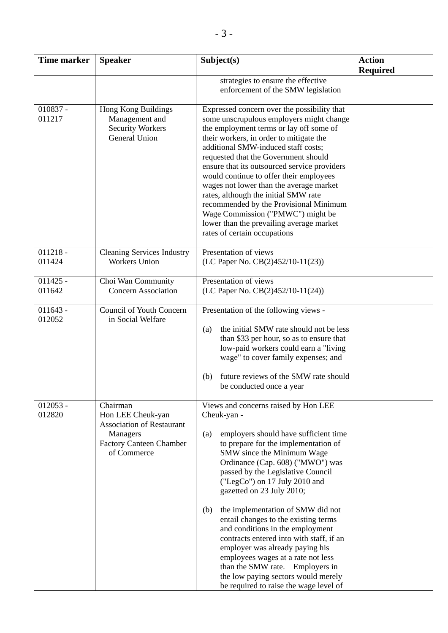| Time marker          | <b>Speaker</b>                                                                                                                 | Subject(s)                                                                                                                                                                                                                                                                                                                                                                                                                                                                                                                                                                                                                                                                        | <b>Action</b>   |
|----------------------|--------------------------------------------------------------------------------------------------------------------------------|-----------------------------------------------------------------------------------------------------------------------------------------------------------------------------------------------------------------------------------------------------------------------------------------------------------------------------------------------------------------------------------------------------------------------------------------------------------------------------------------------------------------------------------------------------------------------------------------------------------------------------------------------------------------------------------|-----------------|
|                      |                                                                                                                                |                                                                                                                                                                                                                                                                                                                                                                                                                                                                                                                                                                                                                                                                                   | <b>Required</b> |
|                      |                                                                                                                                | strategies to ensure the effective<br>enforcement of the SMW legislation                                                                                                                                                                                                                                                                                                                                                                                                                                                                                                                                                                                                          |                 |
| $010837 -$<br>011217 | Hong Kong Buildings<br>Management and<br><b>Security Workers</b><br>General Union                                              | Expressed concern over the possibility that<br>some unscrupulous employers might change<br>the employment terms or lay off some of<br>their workers, in order to mitigate the<br>additional SMW-induced staff costs;<br>requested that the Government should<br>ensure that its outsourced service providers<br>would continue to offer their employees<br>wages not lower than the average market<br>rates, although the initial SMW rate<br>recommended by the Provisional Minimum<br>Wage Commission ("PMWC") might be<br>lower than the prevailing average market<br>rates of certain occupations                                                                             |                 |
| $011218 -$<br>011424 | <b>Cleaning Services Industry</b><br><b>Workers Union</b>                                                                      | Presentation of views<br>(LC Paper No. CB(2)452/10-11(23))                                                                                                                                                                                                                                                                                                                                                                                                                                                                                                                                                                                                                        |                 |
| $011425 -$<br>011642 | Choi Wan Community<br><b>Concern Association</b>                                                                               | Presentation of views<br>(LC Paper No. CB(2)452/10-11(24))                                                                                                                                                                                                                                                                                                                                                                                                                                                                                                                                                                                                                        |                 |
| $011643 -$<br>012052 | Council of Youth Concern<br>in Social Welfare                                                                                  | Presentation of the following views -<br>the initial SMW rate should not be less<br>(a)<br>than \$33 per hour, so as to ensure that<br>low-paid workers could earn a "living<br>wage" to cover family expenses; and<br>future reviews of the SMW rate should<br>(b)<br>be conducted once a year                                                                                                                                                                                                                                                                                                                                                                                   |                 |
| $012053 -$<br>012820 | Chairman<br>Hon LEE Cheuk-yan<br><b>Association of Restaurant</b><br>Managers<br><b>Factory Canteen Chamber</b><br>of Commerce | Views and concerns raised by Hon LEE<br>Cheuk-yan -<br>employers should have sufficient time<br>(a)<br>to prepare for the implementation of<br>SMW since the Minimum Wage<br>Ordinance (Cap. 608) ("MWO") was<br>passed by the Legislative Council<br>("LegCo") on 17 July 2010 and<br>gazetted on 23 July 2010;<br>the implementation of SMW did not<br>(b)<br>entail changes to the existing terms<br>and conditions in the employment<br>contracts entered into with staff, if an<br>employer was already paying his<br>employees wages at a rate not less<br>than the SMW rate. Employers in<br>the low paying sectors would merely<br>be required to raise the wage level of |                 |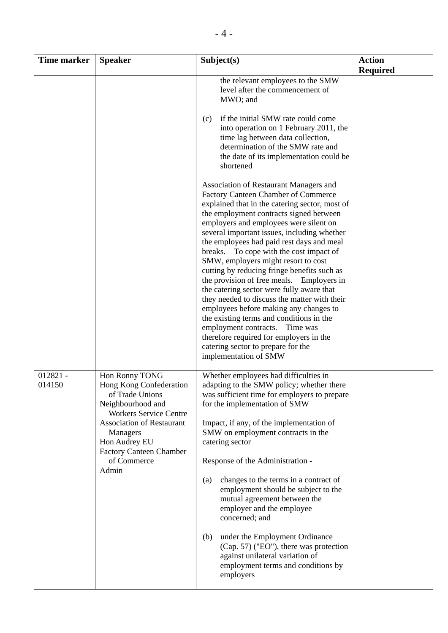| <b>Time marker</b>   | <b>Speaker</b>                                                                                                                                                                                                                                | Subject(s)                                                                                                                                                                                                                                                                                                                                                                                                                                                                                                                                                                                                                                                                                                                                                                                                                    | <b>Action</b><br><b>Required</b> |
|----------------------|-----------------------------------------------------------------------------------------------------------------------------------------------------------------------------------------------------------------------------------------------|-------------------------------------------------------------------------------------------------------------------------------------------------------------------------------------------------------------------------------------------------------------------------------------------------------------------------------------------------------------------------------------------------------------------------------------------------------------------------------------------------------------------------------------------------------------------------------------------------------------------------------------------------------------------------------------------------------------------------------------------------------------------------------------------------------------------------------|----------------------------------|
|                      |                                                                                                                                                                                                                                               | the relevant employees to the SMW<br>level after the commencement of<br>MWO; and                                                                                                                                                                                                                                                                                                                                                                                                                                                                                                                                                                                                                                                                                                                                              |                                  |
|                      |                                                                                                                                                                                                                                               | if the initial SMW rate could come<br>(c)<br>into operation on 1 February 2011, the<br>time lag between data collection,<br>determination of the SMW rate and<br>the date of its implementation could be<br>shortened                                                                                                                                                                                                                                                                                                                                                                                                                                                                                                                                                                                                         |                                  |
|                      |                                                                                                                                                                                                                                               | Association of Restaurant Managers and<br>Factory Canteen Chamber of Commerce<br>explained that in the catering sector, most of<br>the employment contracts signed between<br>employers and employees were silent on<br>several important issues, including whether<br>the employees had paid rest days and meal<br>breaks. To cope with the cost impact of<br>SMW, employers might resort to cost<br>cutting by reducing fringe benefits such as<br>the provision of free meals. Employers in<br>the catering sector were fully aware that<br>they needed to discuss the matter with their<br>employees before making any changes to<br>the existing terms and conditions in the<br>employment contracts. Time was<br>therefore required for employers in the<br>catering sector to prepare for the<br>implementation of SMW |                                  |
| $012821 -$<br>014150 | Hon Ronny TONG<br>Hong Kong Confederation<br>of Trade Unions<br>Neighbourhood and<br><b>Workers Service Centre</b><br><b>Association of Restaurant</b><br>Managers<br>Hon Audrey EU<br><b>Factory Canteen Chamber</b><br>of Commerce<br>Admin | Whether employees had difficulties in<br>adapting to the SMW policy; whether there<br>was sufficient time for employers to prepare<br>for the implementation of SMW<br>Impact, if any, of the implementation of<br>SMW on employment contracts in the<br>catering sector<br>Response of the Administration -<br>changes to the terms in a contract of<br>(a)<br>employment should be subject to the<br>mutual agreement between the<br>employer and the employee<br>concerned; and<br>under the Employment Ordinance<br>(b)<br>(Cap. 57) ("EO"), there was protection<br>against unilateral variation of<br>employment terms and conditions by<br>employers                                                                                                                                                                   |                                  |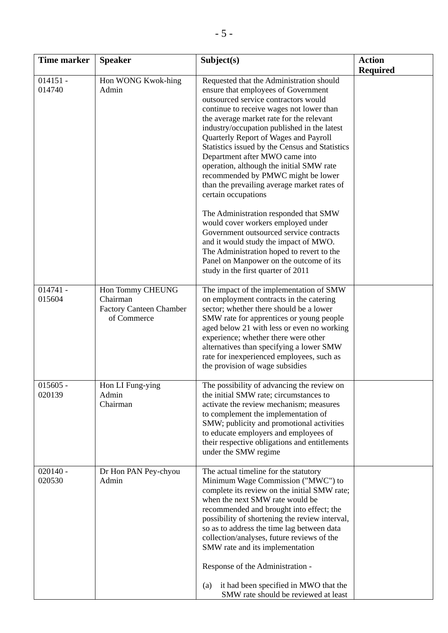| <b>Time marker</b>   | <b>Speaker</b>                                                                | Subject(s)                                                                                                                                                                                                                                                                                                                                                                                                                                                                                                                                                                                                                                                                                                                                                                                                                                           | <b>Action</b>   |
|----------------------|-------------------------------------------------------------------------------|------------------------------------------------------------------------------------------------------------------------------------------------------------------------------------------------------------------------------------------------------------------------------------------------------------------------------------------------------------------------------------------------------------------------------------------------------------------------------------------------------------------------------------------------------------------------------------------------------------------------------------------------------------------------------------------------------------------------------------------------------------------------------------------------------------------------------------------------------|-----------------|
|                      |                                                                               |                                                                                                                                                                                                                                                                                                                                                                                                                                                                                                                                                                                                                                                                                                                                                                                                                                                      | <b>Required</b> |
| $014151 -$<br>014740 | Hon WONG Kwok-hing<br>Admin                                                   | Requested that the Administration should<br>ensure that employees of Government<br>outsourced service contractors would<br>continue to receive wages not lower than<br>the average market rate for the relevant<br>industry/occupation published in the latest<br>Quarterly Report of Wages and Payroll<br>Statistics issued by the Census and Statistics<br>Department after MWO came into<br>operation, although the initial SMW rate<br>recommended by PMWC might be lower<br>than the prevailing average market rates of<br>certain occupations<br>The Administration responded that SMW<br>would cover workers employed under<br>Government outsourced service contracts<br>and it would study the impact of MWO.<br>The Administration hoped to revert to the<br>Panel on Manpower on the outcome of its<br>study in the first quarter of 2011 |                 |
| $014741 -$<br>015604 | Hon Tommy CHEUNG<br>Chairman<br><b>Factory Canteen Chamber</b><br>of Commerce | The impact of the implementation of SMW<br>on employment contracts in the catering<br>sector; whether there should be a lower<br>SMW rate for apprentices or young people<br>aged below 21 with less or even no working<br>experience; whether there were other<br>alternatives than specifying a lower SMW<br>rate for inexperienced employees, such as<br>the provision of wage subsidies                                                                                                                                                                                                                                                                                                                                                                                                                                                          |                 |
| $015605 -$<br>020139 | Hon LI Fung-ying<br>Admin<br>Chairman                                         | The possibility of advancing the review on<br>the initial SMW rate; circumstances to<br>activate the review mechanism; measures<br>to complement the implementation of<br>SMW; publicity and promotional activities<br>to educate employers and employees of<br>their respective obligations and entitlements<br>under the SMW regime                                                                                                                                                                                                                                                                                                                                                                                                                                                                                                                |                 |
| $020140 -$<br>020530 | Dr Hon PAN Pey-chyou<br>Admin                                                 | The actual timeline for the statutory<br>Minimum Wage Commission ("MWC") to<br>complete its review on the initial SMW rate;<br>when the next SMW rate would be<br>recommended and brought into effect; the<br>possibility of shortening the review interval,<br>so as to address the time lag between data<br>collection/analyses, future reviews of the<br>SMW rate and its implementation<br>Response of the Administration -<br>it had been specified in MWO that the<br>(a)<br>SMW rate should be reviewed at least                                                                                                                                                                                                                                                                                                                              |                 |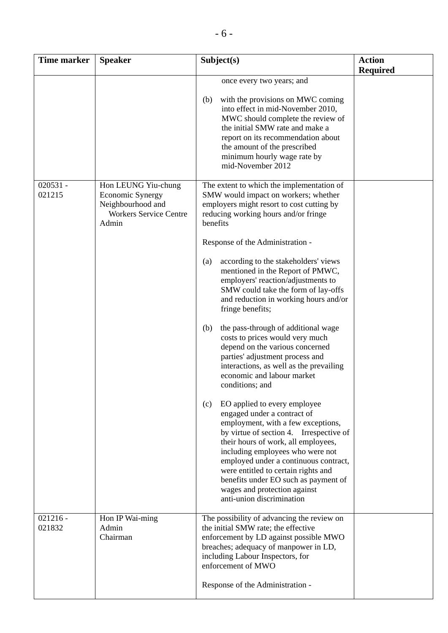| <b>Time marker</b>   | <b>Speaker</b>                                                                                                | Subject(s)                                                                                                                                                                                                                                                                                                                                                                                                          | <b>Action</b><br><b>Required</b> |
|----------------------|---------------------------------------------------------------------------------------------------------------|---------------------------------------------------------------------------------------------------------------------------------------------------------------------------------------------------------------------------------------------------------------------------------------------------------------------------------------------------------------------------------------------------------------------|----------------------------------|
|                      |                                                                                                               | once every two years; and                                                                                                                                                                                                                                                                                                                                                                                           |                                  |
|                      |                                                                                                               | with the provisions on MWC coming<br>(b)<br>into effect in mid-November 2010,<br>MWC should complete the review of<br>the initial SMW rate and make a<br>report on its recommendation about<br>the amount of the prescribed<br>minimum hourly wage rate by<br>mid-November 2012                                                                                                                                     |                                  |
| $020531 -$<br>021215 | Hon LEUNG Yiu-chung<br><b>Economic Synergy</b><br>Neighbourhood and<br><b>Workers Service Centre</b><br>Admin | The extent to which the implementation of<br>SMW would impact on workers; whether<br>employers might resort to cost cutting by<br>reducing working hours and/or fringe<br>benefits                                                                                                                                                                                                                                  |                                  |
|                      |                                                                                                               | Response of the Administration -                                                                                                                                                                                                                                                                                                                                                                                    |                                  |
|                      |                                                                                                               | according to the stakeholders' views<br>(a)<br>mentioned in the Report of PMWC,<br>employers' reaction/adjustments to<br>SMW could take the form of lay-offs<br>and reduction in working hours and/or<br>fringe benefits;                                                                                                                                                                                           |                                  |
|                      |                                                                                                               | the pass-through of additional wage<br>(b)<br>costs to prices would very much<br>depend on the various concerned<br>parties' adjustment process and<br>interactions, as well as the prevailing<br>economic and labour market<br>conditions; and                                                                                                                                                                     |                                  |
|                      |                                                                                                               | EO applied to every employee<br>(c)<br>engaged under a contract of<br>employment, with a few exceptions,<br>by virtue of section 4. Irrespective of<br>their hours of work, all employees,<br>including employees who were not<br>employed under a continuous contract,<br>were entitled to certain rights and<br>benefits under EO such as payment of<br>wages and protection against<br>anti-union discrimination |                                  |
| $021216 -$<br>021832 | Hon IP Wai-ming<br>Admin<br>Chairman                                                                          | The possibility of advancing the review on<br>the initial SMW rate; the effective<br>enforcement by LD against possible MWO<br>breaches; adequacy of manpower in LD,<br>including Labour Inspectors, for<br>enforcement of MWO<br>Response of the Administration -                                                                                                                                                  |                                  |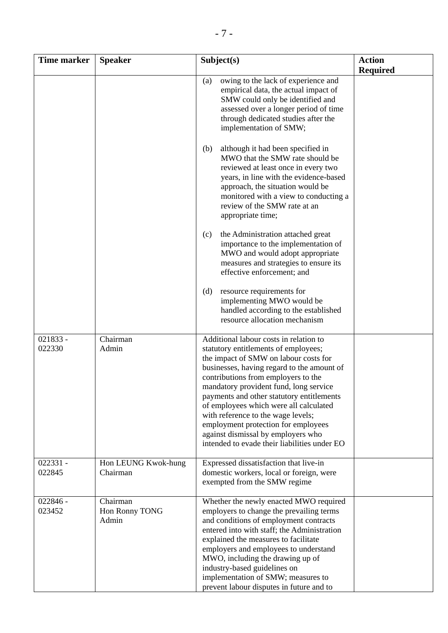| <b>Time marker</b>   | <b>Speaker</b>                      | Subject(s)                                                                                                                                                                                                                                                                                                                                                                                                                                                                                                       | <b>Action</b><br><b>Required</b> |
|----------------------|-------------------------------------|------------------------------------------------------------------------------------------------------------------------------------------------------------------------------------------------------------------------------------------------------------------------------------------------------------------------------------------------------------------------------------------------------------------------------------------------------------------------------------------------------------------|----------------------------------|
|                      |                                     | owing to the lack of experience and<br>(a)<br>empirical data, the actual impact of<br>SMW could only be identified and<br>assessed over a longer period of time<br>through dedicated studies after the<br>implementation of SMW;                                                                                                                                                                                                                                                                                 |                                  |
|                      |                                     | although it had been specified in<br>(b)<br>MWO that the SMW rate should be<br>reviewed at least once in every two<br>years, in line with the evidence-based<br>approach, the situation would be<br>monitored with a view to conducting a<br>review of the SMW rate at an<br>appropriate time;                                                                                                                                                                                                                   |                                  |
|                      |                                     | the Administration attached great<br>(c)<br>importance to the implementation of<br>MWO and would adopt appropriate<br>measures and strategies to ensure its<br>effective enforcement; and                                                                                                                                                                                                                                                                                                                        |                                  |
|                      |                                     | resource requirements for<br>(d)<br>implementing MWO would be<br>handled according to the established<br>resource allocation mechanism                                                                                                                                                                                                                                                                                                                                                                           |                                  |
| 021833 -<br>022330   | Chairman<br>Admin                   | Additional labour costs in relation to<br>statutory entitlements of employees;<br>the impact of SMW on labour costs for<br>businesses, having regard to the amount of<br>contributions from employers to the<br>mandatory provident fund, long service<br>payments and other statutory entitlements<br>of employees which were all calculated<br>with reference to the wage levels;<br>employment protection for employees<br>against dismissal by employers who<br>intended to evade their liabilities under EO |                                  |
| $022331 -$<br>022845 | Hon LEUNG Kwok-hung<br>Chairman     | Expressed dissatisfaction that live-in<br>domestic workers, local or foreign, were<br>exempted from the SMW regime                                                                                                                                                                                                                                                                                                                                                                                               |                                  |
| $022846 -$<br>023452 | Chairman<br>Hon Ronny TONG<br>Admin | Whether the newly enacted MWO required<br>employers to change the prevailing terms<br>and conditions of employment contracts<br>entered into with staff; the Administration<br>explained the measures to facilitate<br>employers and employees to understand<br>MWO, including the drawing up of<br>industry-based guidelines on<br>implementation of SMW; measures to<br>prevent labour disputes in future and to                                                                                               |                                  |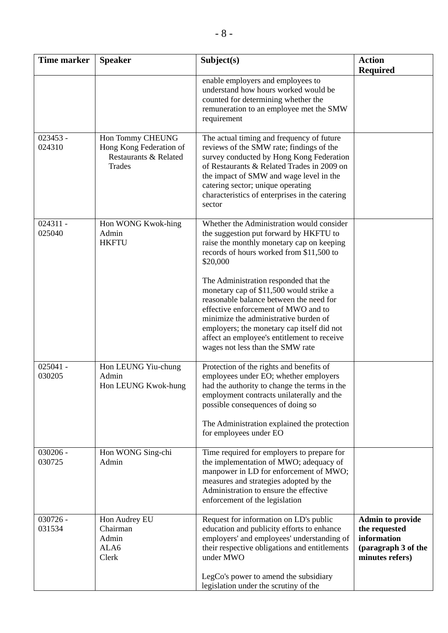| Time marker          | <b>Speaker</b>                                                                 | Subject(s)                                                                                                                                                                                                                                                                                                                                                                                                                                                                                                                               | <b>Action</b>                                                                                     |
|----------------------|--------------------------------------------------------------------------------|------------------------------------------------------------------------------------------------------------------------------------------------------------------------------------------------------------------------------------------------------------------------------------------------------------------------------------------------------------------------------------------------------------------------------------------------------------------------------------------------------------------------------------------|---------------------------------------------------------------------------------------------------|
|                      |                                                                                | enable employers and employees to<br>understand how hours worked would be<br>counted for determining whether the<br>remuneration to an employee met the SMW<br>requirement                                                                                                                                                                                                                                                                                                                                                               | <b>Required</b>                                                                                   |
| $023453 -$<br>024310 | Hon Tommy CHEUNG<br>Hong Kong Federation of<br>Restaurants & Related<br>Trades | The actual timing and frequency of future<br>reviews of the SMW rate; findings of the<br>survey conducted by Hong Kong Federation<br>of Restaurants & Related Trades in 2009 on<br>the impact of SMW and wage level in the<br>catering sector; unique operating<br>characteristics of enterprises in the catering<br>sector                                                                                                                                                                                                              |                                                                                                   |
| $024311 -$<br>025040 | Hon WONG Kwok-hing<br>Admin<br><b>HKFTU</b>                                    | Whether the Administration would consider<br>the suggestion put forward by HKFTU to<br>raise the monthly monetary cap on keeping<br>records of hours worked from \$11,500 to<br>\$20,000<br>The Administration responded that the<br>monetary cap of \$11,500 would strike a<br>reasonable balance between the need for<br>effective enforcement of MWO and to<br>minimize the administrative burden of<br>employers; the monetary cap itself did not<br>affect an employee's entitlement to receive<br>wages not less than the SMW rate |                                                                                                   |
| $025041 -$<br>030205 | Hon LEUNG Yiu-chung<br>Admin<br>Hon LEUNG Kwok-hung                            | Protection of the rights and benefits of<br>employees under EO; whether employers<br>had the authority to change the terms in the<br>employment contracts unilaterally and the<br>possible consequences of doing so<br>The Administration explained the protection<br>for employees under EO                                                                                                                                                                                                                                             |                                                                                                   |
| $030206 -$<br>030725 | Hon WONG Sing-chi<br>Admin                                                     | Time required for employers to prepare for<br>the implementation of MWO; adequacy of<br>manpower in LD for enforcement of MWO;<br>measures and strategies adopted by the<br>Administration to ensure the effective<br>enforcement of the legislation                                                                                                                                                                                                                                                                                     |                                                                                                   |
| 030726 -<br>031534   | Hon Audrey EU<br>Chairman<br>Admin<br>ALA6<br>Clerk                            | Request for information on LD's public<br>education and publicity efforts to enhance<br>employers' and employees' understanding of<br>their respective obligations and entitlements<br>under MWO<br>LegCo's power to amend the subsidiary<br>legislation under the scrutiny of the                                                                                                                                                                                                                                                       | <b>Admin to provide</b><br>the requested<br>information<br>(paragraph 3 of the<br>minutes refers) |